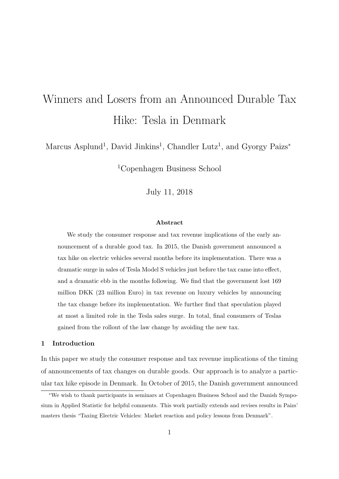# Winners and Losers from an Announced Durable Tax Hike: Tesla in Denmark

Marcus Asplund<sup>1</sup>, David Jinkins<sup>1</sup>, Chandler Lutz<sup>1</sup>, and Gyorgy Paizs<sup>\*</sup>

<sup>1</sup>Copenhagen Business School

July 11, 2018

# Abstract

We study the consumer response and tax revenue implications of the early announcement of a durable good tax. In 2015, the Danish government announced a tax hike on electric vehicles several months before its implementation. There was a dramatic surge in sales of Tesla Model S vehicles just before the tax came into effect, and a dramatic ebb in the months following. We find that the government lost 169 million DKK (23 million Euro) in tax revenue on luxury vehicles by announcing the tax change before its implementation. We further find that speculation played at most a limited role in the Tesla sales surge. In total, final consumers of Teslas gained from the rollout of the law change by avoiding the new tax.

#### 1 Introduction

In this paper we study the consumer response and tax revenue implications of the timing of announcements of tax changes on durable goods. Our approach is to analyze a particular tax hike episode in Denmark. In October of 2015, the Danish government announced

<sup>∗</sup>We wish to thank participants in seminars at Copenhagen Business School and the Danish Symposium in Applied Statistic for helpful comments. This work partially extends and revises results in Paizs' masters thesis "Taxing Electric Vehicles: Market reaction and policy lessons from Denmark".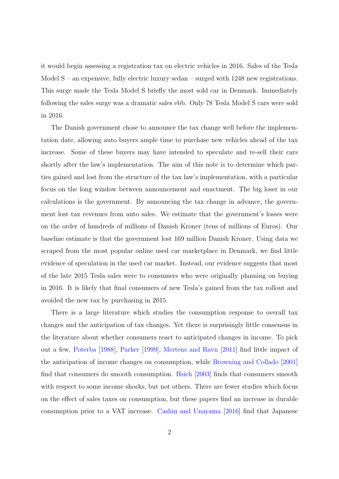it would begin assessing a registration tax on electric vehicles in 2016. Sales of the Tesla Model  $S$  – an expensive, fully electric luxury sedan – surged with 1248 new registrations. This surge made the Tesla Model S briefly the most sold car in Denmark. Immediately following the sales surge was a dramatic sales ebb. Only 78 Tesla Model S cars were sold in 2016.

The Danish government chose to announce the tax change well before the implementation date, allowing auto buyers ample time to purchase new vehicles ahead of the tax increase. Some of these buyers may have intended to speculate and re-sell their cars shortly after the law's implementation. The aim of this note is to determine which parties gained and lost from the structure of the tax law's implementation, with a particular focus on the long window between announcement and enactment. The big loser in our calculations is the government. By announcing the tax change in advance, the government lost tax revenues from auto sales. We estimate that the government's losses were on the order of hundreds of millions of Danish Kroner (tens of millions of Euros). Our baseline estimate is that the government lost 169 million Danish Kroner. Using data we scraped from the most popular online used car marketplace in Denmark, we find little evidence of speculation in the used car market. Instead, our evidence suggests that most of the late 2015 Tesla sales were to consumers who were originally planning on buying in 2016. It is likely that final consumers of new Tesla's gained from the tax rollout and avoided the new tax by purchasing in 2015.

There is a large literature which studies the consumption response to overall tax changes and the anticipation of tax changes. Yet there is surprisingly little consensus in the literature about whether consumers react to anticipated changes in income. To pick out a few, [Poterba](#page-18-0) [\[1988\]](#page-18-0), [Parker](#page-18-1) [\[1999\]](#page-18-1), [Mertens and Ravn](#page-18-2) [\[2011\]](#page-18-2) find little impact of the anticipation of income changes on consumption, while [Browning and Collado](#page-17-0) [\[2001\]](#page-17-0) find that consumers do smooth consumption. [Hsieh](#page-18-3) [\[2003\]](#page-18-3) finds that consumers smooth with respect to some income shocks, but not others. There are fewer studies which focus on the effect of sales taxes on consumption, but these papers find an increase in durable consumption prior to a VAT increase. [Cashin and Unayama](#page-17-1) [\[2016\]](#page-17-1) find that Japanese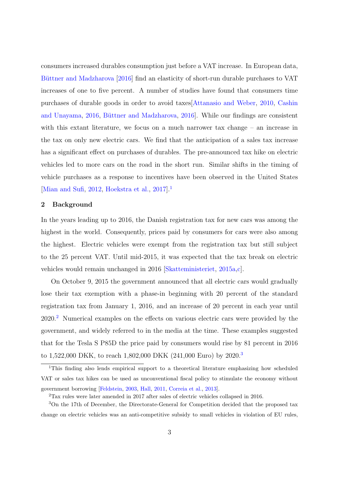consumers increased durables consumption just before a VAT increase. In European data, Büttner and Madzharova [\[2016\]](#page-17-2) find an elasticity of short-run durable purchases to VAT increases of one to five percent. A number of studies have found that consumers time purchases of durable goods in order to avoid taxes[\[Attanasio and Weber,](#page-17-3) [2010,](#page-17-3) [Cashin](#page-17-1) [and Unayama,](#page-17-1) [2016,](#page-17-1) Büttner and Madzharova, 2016. While our findings are consistent with this extant literature, we focus on a much narrower tax change – an increase in the tax on only new electric cars. We find that the anticipation of a sales tax increase has a significant effect on purchases of durables. The pre-announced tax hike on electric vehicles led to more cars on the road in the short run. Similar shifts in the timing of vehicle purchases as a response to incentives have been observed in the United States [\[Mian and Sufi,](#page-18-4) [2012,](#page-18-4) [Hoekstra et al.,](#page-18-5) [2017\]](#page-18-5).[1](#page-2-0)

# 2 Background

In the years leading up to 2016, the Danish registration tax for new cars was among the highest in the world. Consequently, prices paid by consumers for cars were also among the highest. Electric vehicles were exempt from the registration tax but still subject to the 25 percent VAT. Until mid-2015, it was expected that the tax break on electric vehicles would remain unchanged in 2016 [\[Skatteministeriet,](#page-18-6) [2015a,](#page-18-6)[c\]](#page-19-0).

On October 9, 2015 the government announced that all electric cars would gradually lose their tax exemption with a phase-in beginning with 20 percent of the standard registration tax from January 1, 2016, and an increase of 20 percent in each year until 2020.[2](#page-2-1) Numerical examples on the effects on various electric cars were provided by the government, and widely referred to in the media at the time. These examples suggested that for the Tesla S P85D the price paid by consumers would rise by 81 percent in 2016 to 1,522,000 DKK, to reach 1,802,000 DKK (241,000 Euro) by 2020.<sup>[3](#page-2-2)</sup>

<span id="page-2-0"></span><sup>1</sup>This finding also lends empirical support to a theoretical literature emphasizing how scheduled VAT or sales tax hikes can be used as unconventional fiscal policy to stimulate the economy without government borrowing [\[Feldstein,](#page-17-4) [2003,](#page-17-4) [Hall,](#page-18-7) [2011,](#page-18-7) [Correia et al.,](#page-17-5) [2013\]](#page-17-5).

<span id="page-2-2"></span><span id="page-2-1"></span><sup>2</sup>Tax rules were later amended in 2017 after sales of electric vehicles collapsed in 2016.

<sup>3</sup>On the 17th of December, the Directorate-General for Competition decided that the proposed tax change on electric vehicles was an anti-competitive subsidy to small vehicles in violation of EU rules,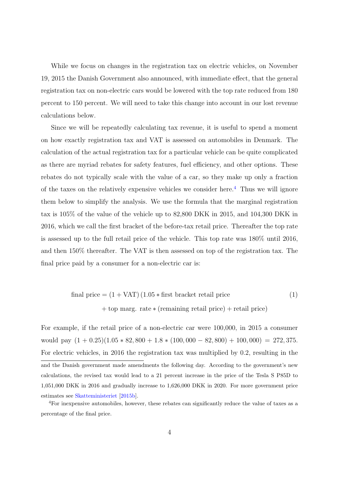While we focus on changes in the registration tax on electric vehicles, on November 19, 2015 the Danish Government also announced, with immediate effect, that the general registration tax on non-electric cars would be lowered with the top rate reduced from 180 percent to 150 percent. We will need to take this change into account in our lost revenue calculations below.

Since we will be repeatedly calculating tax revenue, it is useful to spend a moment on how exactly registration tax and VAT is assessed on automobiles in Denmark. The calculation of the actual registration tax for a particular vehicle can be quite complicated as there are myriad rebates for safety features, fuel efficiency, and other options. These rebates do not typically scale with the value of a car, so they make up only a fraction of the taxes on the relatively expensive vehicles we consider here.<sup>[4](#page-3-0)</sup> Thus we will ignore them below to simplify the analysis. We use the formula that the marginal registration tax is 105% of the value of the vehicle up to 82,800 DKK in 2015, and 104,300 DKK in 2016, which we call the first bracket of the before-tax retail price. Thereafter the top rate is assessed up to the full retail price of the vehicle. This top rate was 180% until 2016, and then 150% thereafter. The VAT is then assessed on top of the registration tax. The final price paid by a consumer for a non-electric car is:

<span id="page-3-1"></span>final price = 
$$
(1 + \text{VAT}) (1.05 * \text{first bracket} \text{ retail price})
$$

\n+ top marg. rate \* (remaining retail price) + retail price

For example, if the retail price of a non-electric car were 100,000, in 2015 a consumer would pay  $(1 + 0.25)(1.05 * 82, 800 + 1.8 * (100, 000 - 82, 800) + 100, 000) = 272,375.$ For electric vehicles, in 2016 the registration tax was multiplied by 0.2, resulting in the and the Danish government made amendments the following day. According to the government's new calculations, the revised tax would lead to a 21 percent increase in the price of the Tesla S P85D to 1,051,000 DKK in 2016 and gradually increase to 1,626,000 DKK in 2020. For more government price estimates see [Skatteministeriet](#page-18-8) [\[2015b\]](#page-18-8).

<span id="page-3-0"></span><sup>4</sup>For inexpensive automobiles, however, these rebates can significantly reduce the value of taxes as a percentage of the final price.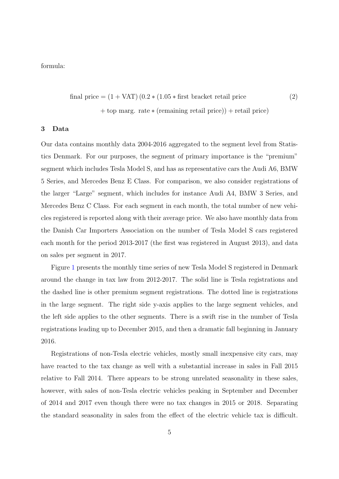formula:

final price = 
$$
(1 + \text{VAT}) (0.2 * (1.05 * \text{first bracket retail price} (2))
$$

<span id="page-4-0"></span>+ top marg. rate ∗ (remaining retail price)) + retail price)

## 3 Data

Our data contains monthly data 2004-2016 aggregated to the segment level from Statistics Denmark. For our purposes, the segment of primary importance is the "premium" segment which includes Tesla Model S, and has as representative cars the Audi A6, BMW 5 Series, and Mercedes Benz E Class. For comparison, we also consider registrations of the larger "Large" segment, which includes for instance Audi A4, BMW 3 Series, and Mercedes Benz C Class. For each segment in each month, the total number of new vehicles registered is reported along with their average price. We also have monthly data from the Danish Car Importers Association on the number of Tesla Model S cars registered each month for the period 2013-2017 (the first was registered in August 2013), and data on sales per segment in 2017.

Figure [1](#page-5-0) presents the monthly time series of new Tesla Model S registered in Denmark around the change in tax law from 2012-2017. The solid line is Tesla registrations and the dashed line is other premium segment registrations. The dotted line is registrations in the large segment. The right side y-axis applies to the large segment vehicles, and the left side applies to the other segments. There is a swift rise in the number of Tesla registrations leading up to December 2015, and then a dramatic fall beginning in January 2016.

Registrations of non-Tesla electric vehicles, mostly small inexpensive city cars, may have reacted to the tax change as well with a substantial increase in sales in Fall 2015 relative to Fall 2014. There appears to be strong unrelated seasonality in these sales, however, with sales of non-Tesla electric vehicles peaking in September and December of 2014 and 2017 even though there were no tax changes in 2015 or 2018. Separating the standard seasonality in sales from the effect of the electric vehicle tax is difficult.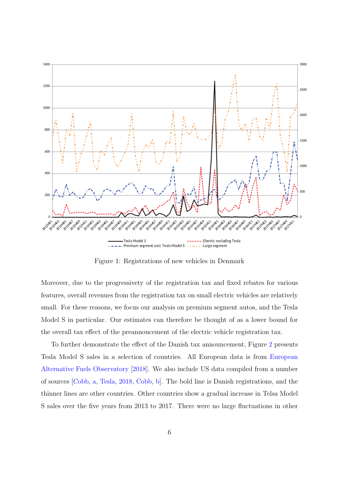<span id="page-5-0"></span>

Figure 1: Registrations of new vehicles in Denmark

Moreover, due to the progressivety of the registration tax and fixed rebates for various features, overall revenues from the registration tax on small electric vehicles are relatively small. For these reasons, we focus our analysis on premium segment autos, and the Tesla Model S in particular. Our estimates can therefore be thought of as a lower bound for the overall tax effect of the preannoucement of the electric vehicle registration tax.

To further demonstrate the effect of the Danish tax announcement, Figure [2](#page-6-0) presents Tesla Model S sales in a selection of countries. All European data is from [European](#page-17-6) [Alternative Fuels Observatory](#page-17-6) [\[2018\]](#page-17-6). We also include US data compiled from a number of sources [\[Cobb,](#page-17-7) [a,](#page-17-7) [Tesla,](#page-19-1) [2018,](#page-19-1) [Cobb,](#page-17-8) [b\]](#page-17-8). The bold line is Danish registrations, and the thinner lines are other countries. Other countries show a gradual increase in Telsa Model S sales over the five years from 2013 to 2017. There were no large fluctuations in other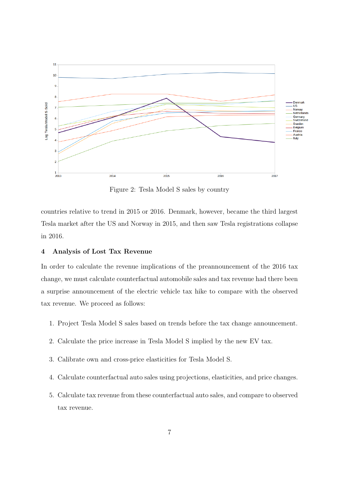<span id="page-6-0"></span>

Figure 2: Tesla Model S sales by country

countries relative to trend in 2015 or 2016. Denmark, however, became the third largest Tesla market after the US and Norway in 2015, and then saw Tesla registrations collapse in 2016.

## 4 Analysis of Lost Tax Revenue

In order to calculate the revenue implications of the preannouncement of the 2016 tax change, we must calculate counterfactual automobile sales and tax revenue had there been a surprise announcement of the electric vehicle tax hike to compare with the observed tax revenue. We proceed as follows:

- 1. Project Tesla Model S sales based on trends before the tax change announcement.
- 2. Calculate the price increase in Tesla Model S implied by the new EV tax.
- 3. Calibrate own and cross-price elasticities for Tesla Model S.
- 4. Calculate counterfactual auto sales using projections, elasticities, and price changes.
- 5. Calculate tax revenue from these counterfactual auto sales, and compare to observed tax revenue.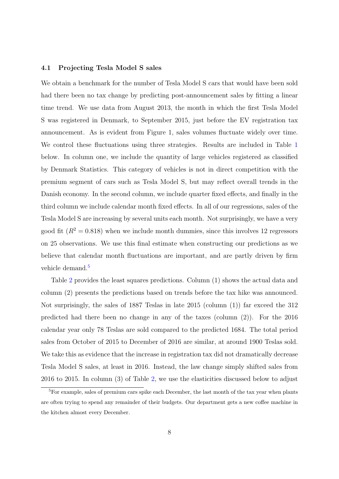#### 4.1 Projecting Tesla Model S sales

We obtain a benchmark for the number of Tesla Model S cars that would have been sold had there been no tax change by predicting post-announcement sales by fitting a linear time trend. We use data from August 2013, the month in which the first Tesla Model S was registered in Denmark, to September 2015, just before the EV registration tax announcement. As is evident from Figure 1, sales volumes fluctuate widely over time. We control these fluctuations using three strategies. Results are included in Table [1](#page-8-0) below. In column one, we include the quantity of large vehicles registered as classified by Denmark Statistics. This category of vehicles is not in direct competition with the premium segment of cars such as Tesla Model S, but may reflect overall trends in the Danish economy. In the second column, we include quarter fixed effects, and finally in the third column we include calendar month fixed effects. In all of our regressions, sales of the Tesla Model S are increasing by several units each month. Not surprisingly, we have a very good fit  $(R^2 = 0.818)$  when we include month dummies, since this involves 12 regressors on 25 observations. We use this final estimate when constructing our predictions as we believe that calendar month fluctuations are important, and are partly driven by firm vehicle demand.<sup>[5](#page-7-0)</sup>

Table [2](#page-9-0) provides the least squares predictions. Column (1) shows the actual data and column (2) presents the predictions based on trends before the tax hike was announced. Not surprisingly, the sales of 1887 Teslas in late 2015 (column (1)) far exceed the 312 predicted had there been no change in any of the taxes (column (2)). For the 2016 calendar year only 78 Teslas are sold compared to the predicted 1684. The total period sales from October of 2015 to December of 2016 are similar, at around 1900 Teslas sold. We take this as evidence that the increase in registration tax did not dramatically decrease Tesla Model S sales, at least in 2016. Instead, the law change simply shifted sales from 2016 to 2015. In column (3) of Table [2,](#page-9-0) we use the elasticities discussed below to adjust

<span id="page-7-0"></span><sup>&</sup>lt;sup>5</sup>For example, sales of premium cars spike each December, the last month of the tax year when plants are often trying to spend any remainder of their budgets. Our department gets a new coffee machine in the kitchen almost every December.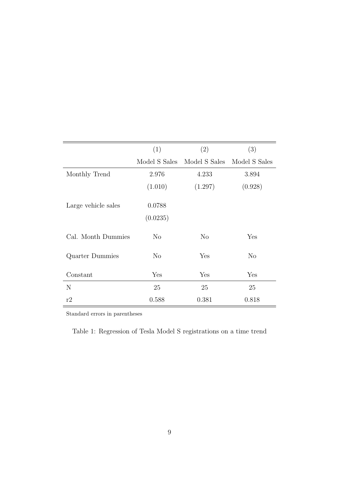<span id="page-8-0"></span>

|                     | (1)                | (2)            | (3)           |
|---------------------|--------------------|----------------|---------------|
|                     | Model S Sales      | Model S Sales  | Model S Sales |
| Monthly Trend       | 2.976              | 4.233          | 3.894         |
|                     | (1.010)            | (1.297)        | (0.928)       |
| Large vehicle sales | 0.0788<br>(0.0235) |                |               |
| Cal. Month Dummies  | N <sub>o</sub>     | N <sub>o</sub> | Yes           |
| Quarter Dummies     | N <sub>o</sub>     | Yes            | $\rm No$      |
| Constant            | Yes                | Yes            | Yes           |
| N                   | 25                 | 25             | 25            |
| r2                  | 0.588              | 0.381          | 0.818         |

Standard errors in parentheses

Table 1: Regression of Tesla Model S registrations on a time trend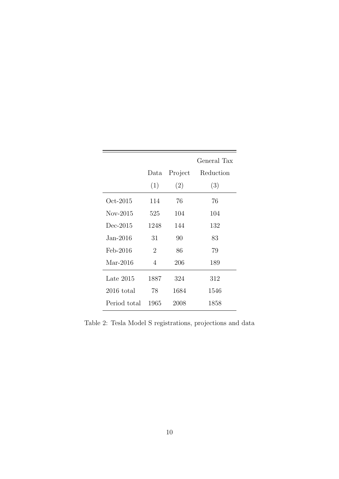<span id="page-9-0"></span>

|              |                |         | General Tax |
|--------------|----------------|---------|-------------|
|              | Data           | Project | Reduction   |
|              | (1)            | (2)     | (3)         |
| Oct-2015     | 114            | 76      | 76          |
| $Nov-2015$   | 525            | 104     | 104         |
| $Dec-2015$   | 1248           | 144     | 132         |
| Jan-2016.    | 31             | 90      | 83          |
| Feb-2016     | $\overline{2}$ | 86      | 79          |
| $Mar-2016$   | 4              | 206     | 189         |
| Late $2015$  | 1887           | 324     | 312         |
| $2016$ total | 78             | 1684    | 1546        |
| Period total | 1965           | 2008    | 1858        |
|              |                |         |             |

Table 2: Tesla Model S registrations, projections and data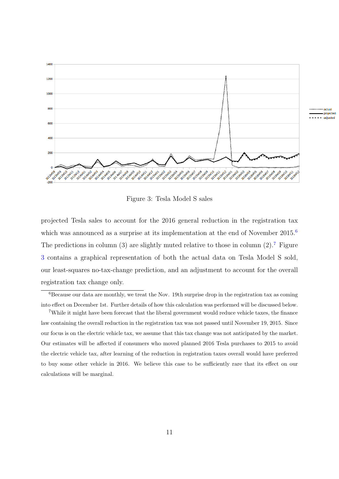<span id="page-10-2"></span>

Figure 3: Tesla Model S sales

projected Tesla sales to account for the 2016 general reduction in the registration tax which was announced as a surprise at its implementation at the end of November 2015.<sup>[6](#page-10-0)</sup> The predictions in column  $(3)$  are slightly muted relative to those in column  $(2)$ .<sup>[7](#page-10-1)</sup> Figure [3](#page-10-2) contains a graphical representation of both the actual data on Tesla Model S sold, our least-squares no-tax-change prediction, and an adjustment to account for the overall registration tax change only.

<span id="page-10-0"></span> ${}^{6}$ Because our data are monthly, we treat the Nov. 19th surprise drop in the registration tax as coming into effect on December 1st. Further details of how this calculation was performed will be discussed below.

<span id="page-10-1"></span><sup>7</sup>While it might have been forecast that the liberal government would reduce vehicle taxes, the finance law containing the overall reduction in the registration tax was not passed until November 19, 2015. Since our focus is on the electric vehicle tax, we assume that this tax change was not anticipated by the market. Our estimates will be affected if consumers who moved planned 2016 Tesla purchases to 2015 to avoid the electric vehicle tax, after learning of the reduction in registration taxes overall would have preferred to buy some other vehicle in 2016. We believe this case to be sufficiently rare that its effect on our calculations will be marginal.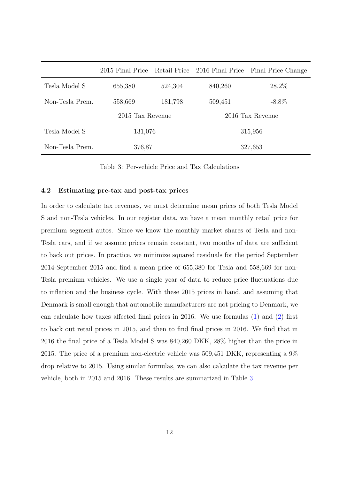<span id="page-11-0"></span>

|                 | 2015 Final Price |         | Retail Price 2016 Final Price | Final Price Change |
|-----------------|------------------|---------|-------------------------------|--------------------|
| Tesla Model S   | 655,380          | 524,304 | 840,260                       | 28.2%              |
| Non-Tesla Prem. | 558,669          | 181,798 | 509,451                       | $-8.8\%$           |
|                 | 2015 Tax Revenue |         | 2016 Tax Revenue              |                    |
| Tesla Model S   | 131,076          |         | 315,956                       |                    |
| Non-Tesla Prem. | 376,871          |         | 327,653                       |                    |

Table 3: Per-vehicle Price and Tax Calculations

#### 4.2 Estimating pre-tax and post-tax prices

In order to calculate tax revenues, we must determine mean prices of both Tesla Model S and non-Tesla vehicles. In our register data, we have a mean monthly retail price for premium segment autos. Since we know the monthly market shares of Tesla and non-Tesla cars, and if we assume prices remain constant, two months of data are sufficient to back out prices. In practice, we minimize squared residuals for the period September 2014-September 2015 and find a mean price of 655,380 for Tesla and 558,669 for non-Tesla premium vehicles. We use a single year of data to reduce price fluctuations due to inflation and the business cycle. With these 2015 prices in hand, and assuming that Denmark is small enough that automobile manufacturers are not pricing to Denmark, we can calculate how taxes affected final prices in 2016. We use formulas [\(1\)](#page-3-1) and [\(2\)](#page-4-0) first to back out retail prices in 2015, and then to find final prices in 2016. We find that in 2016 the final price of a Tesla Model S was 840,260 DKK, 28% higher than the price in 2015. The price of a premium non-electric vehicle was 509,451 DKK, representing a 9% drop relative to 2015. Using similar formulas, we can also calculate the tax revenue per vehicle, both in 2015 and 2016. These results are summarized in Table [3.](#page-11-0)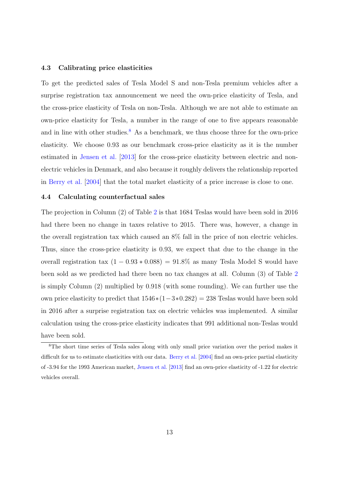#### 4.3 Calibrating price elasticities

To get the predicted sales of Tesla Model S and non-Tesla premium vehicles after a surprise registration tax announcement we need the own-price elasticity of Tesla, and the cross-price elasticity of Tesla on non-Tesla. Although we are not able to estimate an own-price elasticity for Tesla, a number in the range of one to five appears reasonable and in line with other studies.<sup>[8](#page-12-0)</sup> As a benchmark, we thus choose three for the own-price elasticity. We choose 0.93 as our benchmark cross-price elasticity as it is the number estimated in [Jensen et al.](#page-18-9) [\[2013\]](#page-18-9) for the cross-price elasticity between electric and nonelectric vehicles in Denmark, and also because it roughly delivers the relationship reported in [Berry et al.](#page-17-9) [\[2004\]](#page-17-9) that the total market elasticity of a price increase is close to one.

#### 4.4 Calculating counterfactual sales

The projection in Column (2) of Table [2](#page-9-0) is that 1684 Teslas would have been sold in 2016 had there been no change in taxes relative to 2015. There was, however, a change in the overall registration tax which caused an 8% fall in the price of non electric vehicles. Thus, since the cross-price elasticity is 0.93, we expect that due to the change in the overall registration tax  $(1 - 0.93 * 0.088) = 91.8\%$  as many Tesla Model S would have been sold as we predicted had there been no tax changes at all. Column (3) of Table [2](#page-9-0) is simply Column (2) multiplied by 0.918 (with some rounding). We can further use the own price elasticity to predict that  $1546*(1-3*0.282) = 238$  Teslas would have been sold in 2016 after a surprise registration tax on electric vehicles was implemented. A similar calculation using the cross-price elasticity indicates that 991 additional non-Teslas would have been sold.

<span id="page-12-0"></span><sup>8</sup>The short time series of Tesla sales along with only small price variation over the period makes it difficult for us to estimate elasticities with our data. [Berry et al.](#page-17-9) [\[2004\]](#page-17-9) find an own-price partial elasticity of -3.94 for the 1993 American market, [Jensen et al.](#page-18-9) [\[2013\]](#page-18-9) find an own-price elasticity of -1.22 for electric vehicles overall.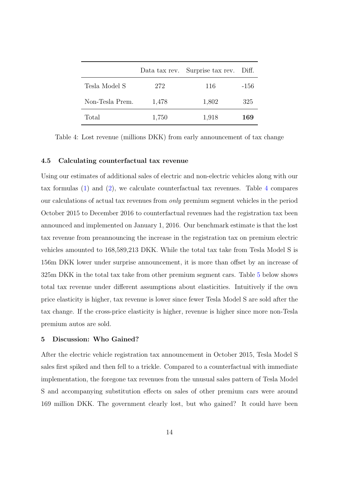<span id="page-13-0"></span>

|                 |       | Data tax rev. Surprise tax rev. Diff. |      |
|-----------------|-------|---------------------------------------|------|
| Tesla Model S   | 272   | 116                                   | -156 |
| Non-Tesla Prem. | 1,478 | 1,802                                 | 325  |
| Total           | 1,750 | 1,918                                 | 169  |

Table 4: Lost revenue (millions DKK) from early announcement of tax change

#### 4.5 Calculating counterfactual tax revenue

Using our estimates of additional sales of electric and non-electric vehicles along with our tax formulas [\(1\)](#page-3-1) and [\(2\)](#page-4-0), we calculate counterfactual tax revenues. Table [4](#page-13-0) compares our calculations of actual tax revenues from only premium segment vehicles in the period October 2015 to December 2016 to counterfactual revenues had the registration tax been announced and implemented on January 1, 2016. Our benchmark estimate is that the lost tax revenue from preannouncing the increase in the registration tax on premium electric vehicles amounted to 168,589,213 DKK. While the total tax take from Tesla Model S is 156m DKK lower under surprise announcement, it is more than offset by an increase of 325m DKK in the total tax take from other premium segment cars. Table [5](#page-14-0) below shows total tax revenue under different assumptions about elasticities. Intuitively if the own price elasticity is higher, tax revenue is lower since fewer Tesla Model S are sold after the tax change. If the cross-price elasticity is higher, revenue is higher since more non-Tesla premium autos are sold.

## 5 Discussion: Who Gained?

After the electric vehicle registration tax announcement in October 2015, Tesla Model S sales first spiked and then fell to a trickle. Compared to a counterfactual with immediate implementation, the foregone tax revenues from the unusual sales pattern of Tesla Model S and accompanying substitution effects on sales of other premium cars were around 169 million DKK. The government clearly lost, but who gained? It could have been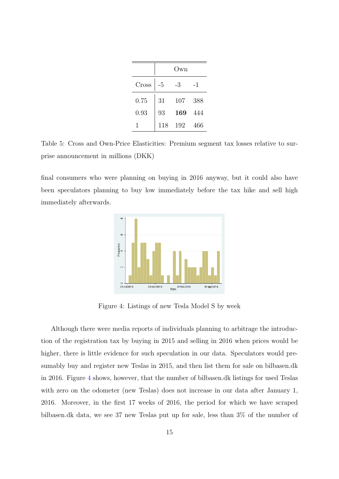|       |      | Own) |     |
|-------|------|------|-----|
| Cross | $-5$ | -3   | -1  |
| 0.75  | 31   | 107  | 388 |
| 0.93  | 93   | 169  | 444 |
|       | 118  | 192  | 466 |

<span id="page-14-0"></span>Table 5: Cross and Own-Price Elasticities: Premium segment tax losses relative to surprise announcement in millions (DKK)

<span id="page-14-1"></span>final consumers who were planning on buying in 2016 anyway, but it could also have been speculators planning to buy low immediately before the tax hike and sell high immediately afterwards.



Figure 4: Listings of new Tesla Model S by week

Although there were media reports of individuals planning to arbitrage the introduction of the registration tax by buying in 2015 and selling in 2016 when prices would be higher, there is little evidence for such speculation in our data. Speculators would presumably buy and register new Teslas in 2015, and then list them for sale on bilbasen.dk in 2016. Figure [4](#page-14-1) shows, however, that the number of bilbasen.dk listings for used Teslas with zero on the odometer (new Teslas) does not increase in our data after January 1, 2016. Moreover, in the first 17 weeks of 2016, the period for which we have scraped bilbasen.dk data, we see 37 new Teslas put up for sale, less than 3% of the number of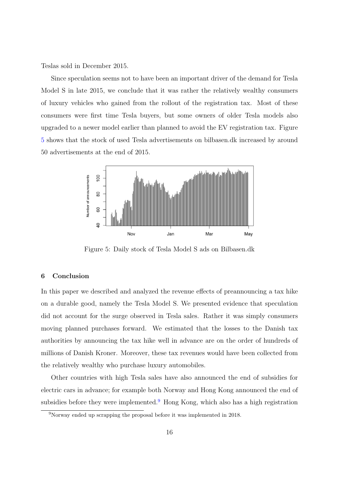Teslas sold in December 2015.

Since speculation seems not to have been an important driver of the demand for Tesla Model S in late 2015, we conclude that it was rather the relatively wealthy consumers of luxury vehicles who gained from the rollout of the registration tax. Most of these consumers were first time Tesla buyers, but some owners of older Tesla models also upgraded to a newer model earlier than planned to avoid the EV registration tax. Figure [5](#page-15-0) shows that the stock of used Tesla advertisements on bilbasen.dk increased by around 50 advertisements at the end of 2015.

<span id="page-15-0"></span>

Figure 5: Daily stock of Tesla Model S ads on Bilbasen.dk

# 6 Conclusion

In this paper we described and analyzed the revenue effects of preannouncing a tax hike on a durable good, namely the Tesla Model S. We presented evidence that speculation did not account for the surge observed in Tesla sales. Rather it was simply consumers moving planned purchases forward. We estimated that the losses to the Danish tax authorities by announcing the tax hike well in advance are on the order of hundreds of millions of Danish Kroner. Moreover, these tax revenues would have been collected from the relatively wealthy who purchase luxury automobiles.

Other countries with high Tesla sales have also announced the end of subsidies for electric cars in advance; for example both Norway and Hong Kong announced the end of subsidies before they were implemented.<sup>[9](#page-15-1)</sup> Hong Kong, which also has a high registration

<span id="page-15-1"></span><sup>&</sup>lt;sup>9</sup>Norway ended up scrapping the proposal before it was implemented in 2018.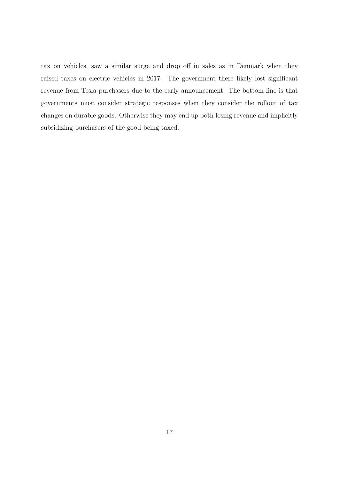tax on vehicles, saw a similar surge and drop off in sales as in Denmark when they raised taxes on electric vehicles in 2017. The government there likely lost significant revenue from Tesla purchasers due to the early announcement. The bottom line is that governments must consider strategic responses when they consider the rollout of tax changes on durable goods. Otherwise they may end up both losing revenue and implicitly subsidizing purchasers of the good being taxed.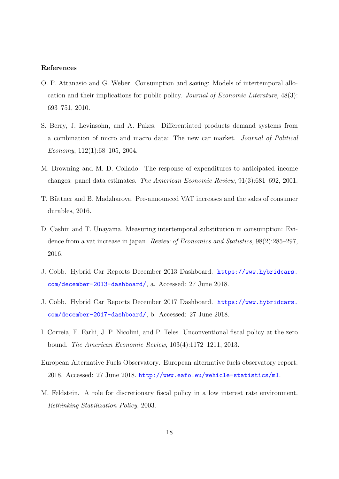## <span id="page-17-3"></span>References

- O. P. Attanasio and G. Weber. Consumption and saving: Models of intertemporal allocation and their implications for public policy. Journal of Economic Literature, 48(3): 693–751, 2010.
- <span id="page-17-9"></span>S. Berry, J. Levinsohn, and A. Pakes. Differentiated products demand systems from a combination of micro and macro data: The new car market. Journal of Political Economy,  $112(1):68-105$ ,  $2004$ .
- <span id="page-17-0"></span>M. Browning and M. D. Collado. The response of expenditures to anticipated income changes: panel data estimates. The American Economic Review, 91(3):681–692, 2001.
- <span id="page-17-2"></span>T. Büttner and B. Madzharova. Pre-announced VAT increases and the sales of consumer durables, 2016.
- <span id="page-17-1"></span>D. Cashin and T. Unayama. Measuring intertemporal substitution in consumption: Evidence from a vat increase in japan. Review of Economics and Statistics, 98(2):285–297, 2016.
- <span id="page-17-7"></span>J. Cobb. Hybrid Car Reports December 2013 Dashboard. [https://www.hybridcars.](https://www.hybridcars.com/december-2013-dashboard/) [com/december-2013-dashboard/](https://www.hybridcars.com/december-2013-dashboard/), a. Accessed: 27 June 2018.
- <span id="page-17-8"></span>J. Cobb. Hybrid Car Reports December 2017 Dashboard. [https://www.hybridcars.](https://www.hybridcars.com/december-2017-dashboard/) [com/december-2017-dashboard/](https://www.hybridcars.com/december-2017-dashboard/), b. Accessed: 27 June 2018.
- <span id="page-17-5"></span>I. Correia, E. Farhi, J. P. Nicolini, and P. Teles. Unconventional fiscal policy at the zero bound. The American Economic Review, 103(4):1172–1211, 2013.
- <span id="page-17-6"></span>European Alternative Fuels Observatory. European alternative fuels observatory report. 2018. Accessed: 27 June 2018. <http://www.eafo.eu/vehicle-statistics/m1>.
- <span id="page-17-4"></span>M. Feldstein. A role for discretionary fiscal policy in a low interest rate environment. Rethinking Stabilization Policy, 2003.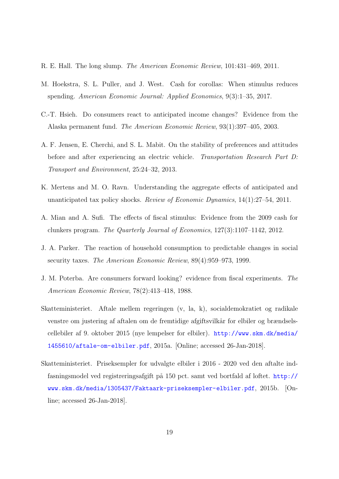- <span id="page-18-7"></span>R. E. Hall. The long slump. The American Economic Review, 101:431–469, 2011.
- <span id="page-18-5"></span>M. Hoekstra, S. L. Puller, and J. West. Cash for corollas: When stimulus reduces spending. American Economic Journal: Applied Economics, 9(3):1–35, 2017.
- <span id="page-18-3"></span>C.-T. Hsieh. Do consumers react to anticipated income changes? Evidence from the Alaska permanent fund. The American Economic Review, 93(1):397–405, 2003.
- <span id="page-18-9"></span>A. F. Jensen, E. Cherchi, and S. L. Mabit. On the stability of preferences and attitudes before and after experiencing an electric vehicle. Transportation Research Part D: Transport and Environment, 25:24–32, 2013.
- <span id="page-18-2"></span>K. Mertens and M. O. Ravn. Understanding the aggregate effects of anticipated and unanticipated tax policy shocks. Review of Economic Dynamics, 14(1):27–54, 2011.
- <span id="page-18-4"></span>A. Mian and A. Sufi. The effects of fiscal stimulus: Evidence from the 2009 cash for clunkers program. The Quarterly Journal of Economics, 127(3):1107–1142, 2012.
- <span id="page-18-1"></span>J. A. Parker. The reaction of household consumption to predictable changes in social security taxes. The American Economic Review, 89(4):959–973, 1999.
- <span id="page-18-0"></span>J. M. Poterba. Are consumers forward looking? evidence from fiscal experiments. The American Economic Review, 78(2):413–418, 1988.
- <span id="page-18-6"></span>Skatteministeriet. Aftale mellem regeringen (v, la, k), socialdemokratiet og radikale venstre om justering af aftalen om de fremtidige afgiftsvilkår for elbiler og brændselscellebiler af 9. oktober 2015 (nye lempelser for elbiler). [http://www.skm.dk/media/](http://www.skm.dk/media/1455610/aftale-om-elbiler.pdf) [1455610/aftale-om-elbiler.pdf](http://www.skm.dk/media/1455610/aftale-om-elbiler.pdf), 2015a. [Online; accessed 26-Jan-2018].
- <span id="page-18-8"></span>Skatteministeriet. Priseksempler for udvalgte elbiler i 2016 - 2020 ved den aftalte indfasningsmodel ved registreringsafgift på 150 pct. samt ved bortfald af loftet. [http://](http://www.skm.dk/media/1305437/Faktaark-priseksempler-elbiler.pdf) [www.skm.dk/media/1305437/Faktaark-priseksempler-elbiler.pdf](http://www.skm.dk/media/1305437/Faktaark-priseksempler-elbiler.pdf), 2015b. [Online; accessed 26-Jan-2018].